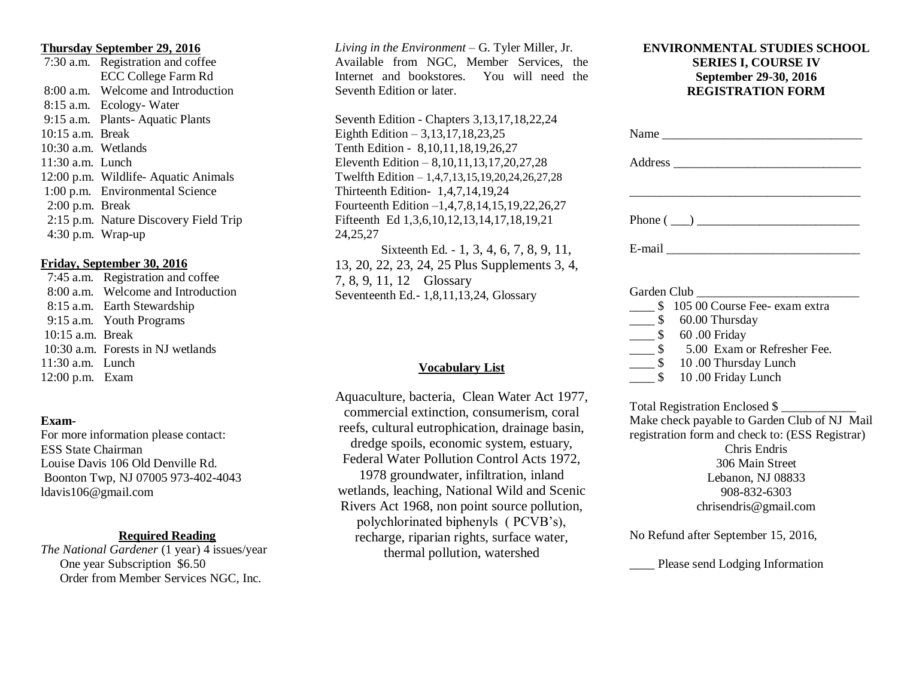#### **Thursday September 29, 2016**

 7:30 a.m. Registration and coffee ECC College Farm Rd 8:00 a.m. Welcome and Introduction 8:15 a.m. Ecology- Water 9:15 a.m. Plants- Aquatic Plants 10:15 a.m. Break 10:30 a.m. Wetlands 11:30 a.m. Lunch 12:00 p.m. Wildlife- Aquatic Animals 1:00 p.m. Environmental Science 2:00 p.m. Break 2:15 p.m. Nature Discovery Field Trip 4:30 p.m. Wrap-up

#### **Friday, September 30, 2016**

 7:45 a.m. Registration and coffee 8:00 a.m. Welcome and Introduction 8:15 a.m. Earth Stewardship 9:15 a.m. Youth Programs 10:15 a.m. Break 10:30 a.m. Forests in NJ wetlands 11:30 a.m. Lunch 12:00 p.m. Exam

#### **Exam-**

For more information please contact: ESS State Chairman Louise Davis 106 Old Denville Rd. Boonton Twp, NJ 07005 973-402-4043 ldavis106@gmail.com

## **Required Reading**

*The National Gardener* (1 year) 4 issues/year One year Subscription \$6.50 Order from Member Services NGC, Inc.

*Living in the Environment –* G. Tyler Miller, Jr. Available from NGC, Member Services, the Internet and bookstores. You will need the Seventh Edition or later.

Seventh Edition - Chapters 3,13,17,18,22,24 Eighth Edition – 3,13,17,18,23,25 Tenth Edition - 8,10,11,18,19,26,27 Eleventh Edition – 8,10,11,13,17,20,27,28 Twelfth Edition – 1,4,7,13,15,19,20,24,26,27,28 Thirteenth Edition- 1,4,7,14,19,24 Fourteenth Edition –1,4,7,8,14,15,19,22,26,27 Fifteenth Ed 1,3,6,10,12,13,14,17,18,19,21 24,25,27

Sixteenth Ed. - 1, 3, 4, 6, 7, 8, 9, 11, 13, 20, 22, 23, 24, 25 Plus Supplements 3, 4, 7, 8, 9, 11, 12 Glossary Seventeenth Ed.- 1,8,11,13,24, Glossary

## **Vocabulary List**

Aquaculture, bacteria, Clean Water Act 1977, commercial extinction, consumerism, coral reefs, cultural eutrophication, drainage basin, dredge spoils, economic system, estuary, Federal Water Pollution Control Acts 1972, 1978 groundwater, infiltration, inland wetlands, leaching, National Wild and Scenic Rivers Act 1968, non point source pollution, polychlorinated biphenyls ( PCVB's), recharge, riparian rights, surface water, thermal pollution, watershed

## **ENVIRONMENTAL STUDIES SCHOOL SERIES I, COURSE IV September 29-30, 2016 REGISTRATION FORM**

| Phone $(\_\_)$                                    |
|---------------------------------------------------|
|                                                   |
|                                                   |
| \$105 00 Course Fee- exam extra                   |
| $\frac{\$}{\$}$ 60.00 Thursday                    |
| $\frac{1}{2}$ 60.00 Friday                        |
| \$ 5.00 Exam or Refresher Fee.                    |
| $\frac{1}{2}$ \$ 10.00 Thursday Lunch             |
| $\overline{\phantom{0}}$ \$<br>10.00 Friday Lunch |
| Total Registration Enclosed \$                    |
| Make check payable to Garden Club of NJ Mail      |
| registration form and check to: (ESS Registrar)   |
| Chris Endris                                      |
| 306 Main Street                                   |
| Lebanon, NJ 08833                                 |
| 908-832-6303                                      |

chrisendris@gmail.com

No Refund after September 15, 2016,

Please send Lodging Information